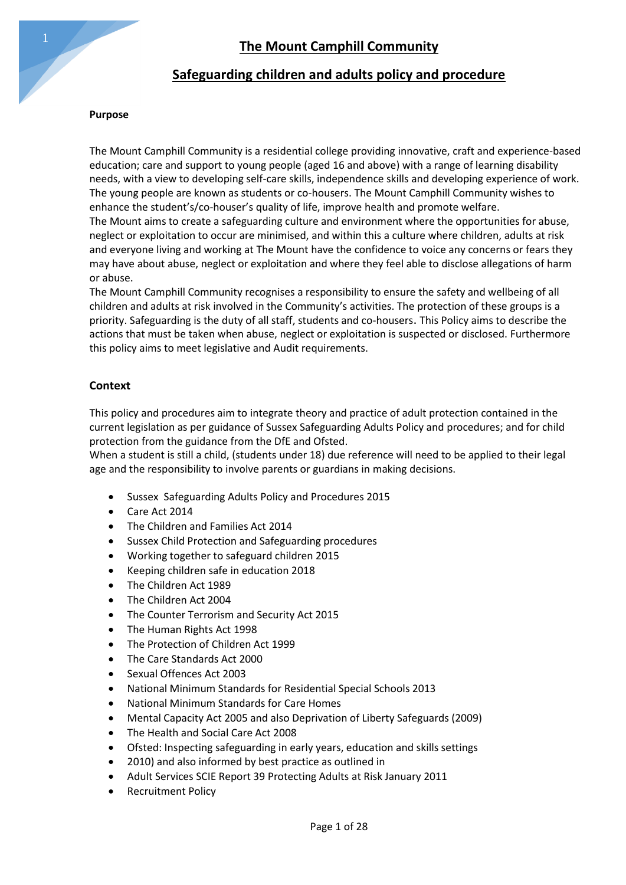# **Safeguarding children and adults policy and procedure**

### **Purpose**

The Mount Camphill Community is a residential college providing innovative, craft and experience-based education; care and support to young people (aged 16 and above) with a range of learning disability needs, with a view to developing self-care skills, independence skills and developing experience of work. The young people are known as students or co-housers. The Mount Camphill Community wishes to enhance the student's/co-houser's quality of life, improve health and promote welfare. The Mount aims to create a safeguarding culture and environment where the opportunities for abuse, neglect or exploitation to occur are minimised, and within this a culture where children, adults at risk and everyone living and working at The Mount have the confidence to voice any concerns or fears they may have about abuse, neglect or exploitation and where they feel able to disclose allegations of harm or abuse.

The Mount Camphill Community recognises a responsibility to ensure the safety and wellbeing of all children and adults at risk involved in the Community's activities. The protection of these groups is a priority. Safeguarding is the duty of all staff, students and co-housers. This Policy aims to describe the actions that must be taken when abuse, neglect or exploitation is suspected or disclosed. Furthermore this policy aims to meet legislative and Audit requirements.

### **Context**

This policy and procedures aim to integrate theory and practice of adult protection contained in the current legislation as per guidance of Sussex Safeguarding Adults Policy and procedures; and for child protection from the guidance from the DfE and Ofsted.

When a student is still a child, (students under 18) due reference will need to be applied to their legal age and the responsibility to involve parents or guardians in making decisions.

- Sussex Safeguarding Adults Policy and Procedures 2015
- Care Act 2014
- The Children and Families Act 2014
- Sussex Child Protection and Safeguarding procedures
- Working together to safeguard children 2015
- Keeping children safe in education 2018
- The Children Act 1989
- The Children Act 2004
- The Counter Terrorism and Security Act 2015
- The Human Rights Act 1998
- The Protection of Children Act 1999
- The Care Standards Act 2000
- Sexual Offences Act 2003
- National Minimum Standards for Residential Special Schools 2013
- National Minimum Standards for Care Homes
- Mental Capacity Act 2005 and also Deprivation of Liberty Safeguards (2009)
- The Health and Social Care Act 2008
- Ofsted: Inspecting safeguarding in early years, education and skills settings
- 2010) and also informed by best practice as outlined in
- Adult Services SCIE Report 39 Protecting Adults at Risk January 2011
- Recruitment Policy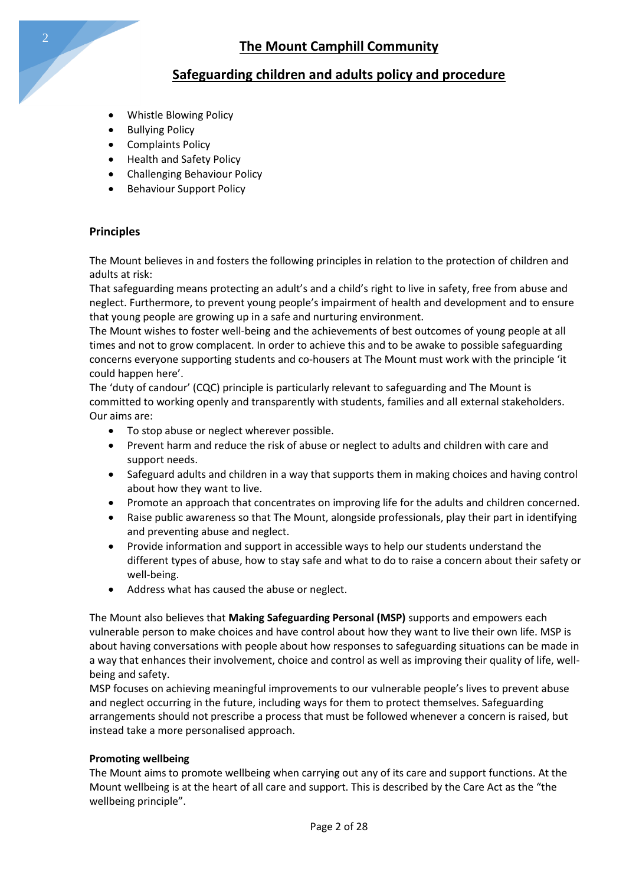# **Safeguarding children and adults policy and procedure**

- Whistle Blowing Policy
- Bullying Policy
- Complaints Policy
- Health and Safety Policy
- Challenging Behaviour Policy
- Behaviour Support Policy

### **Principles**

The Mount believes in and fosters the following principles in relation to the protection of children and adults at risk:

That safeguarding means protecting an adult's and a child's right to live in safety, free from abuse and neglect. Furthermore, to prevent young people's impairment of health and development and to ensure that young people are growing up in a safe and nurturing environment.

The Mount wishes to foster well-being and the achievements of best outcomes of young people at all times and not to grow complacent. In order to achieve this and to be awake to possible safeguarding concerns everyone supporting students and co-housers at The Mount must work with the principle 'it could happen here'.

The 'duty of candour' (CQC) principle is particularly relevant to safeguarding and The Mount is committed to working openly and transparently with students, families and all external stakeholders. Our aims are:

- To stop abuse or neglect wherever possible.
- Prevent harm and reduce the risk of abuse or neglect to adults and children with care and support needs.
- Safeguard adults and children in a way that supports them in making choices and having control about how they want to live.
- Promote an approach that concentrates on improving life for the adults and children concerned.
- Raise public awareness so that The Mount, alongside professionals, play their part in identifying and preventing abuse and neglect.
- Provide information and support in accessible ways to help our students understand the different types of abuse, how to stay safe and what to do to raise a concern about their safety or well-being.
- Address what has caused the abuse or neglect.

The Mount also believes that **Making Safeguarding Personal (MSP)** supports and empowers each vulnerable person to make choices and have control about how they want to live their own life. MSP is about having conversations with people about how responses to safeguarding situations can be made in a way that enhances their involvement, choice and control as well as improving their quality of life, wellbeing and safety.

MSP focuses on achieving meaningful improvements to our vulnerable people's lives to prevent abuse and neglect occurring in the future, including ways for them to protect themselves. Safeguarding arrangements should not prescribe a process that must be followed whenever a concern is raised, but instead take a more personalised approach.

### **Promoting wellbeing**

The Mount aims to promote wellbeing when carrying out any of its care and support functions. At the Mount wellbeing is at the heart of all care and support. This is described by the Care Act as the "the wellbeing principle".

2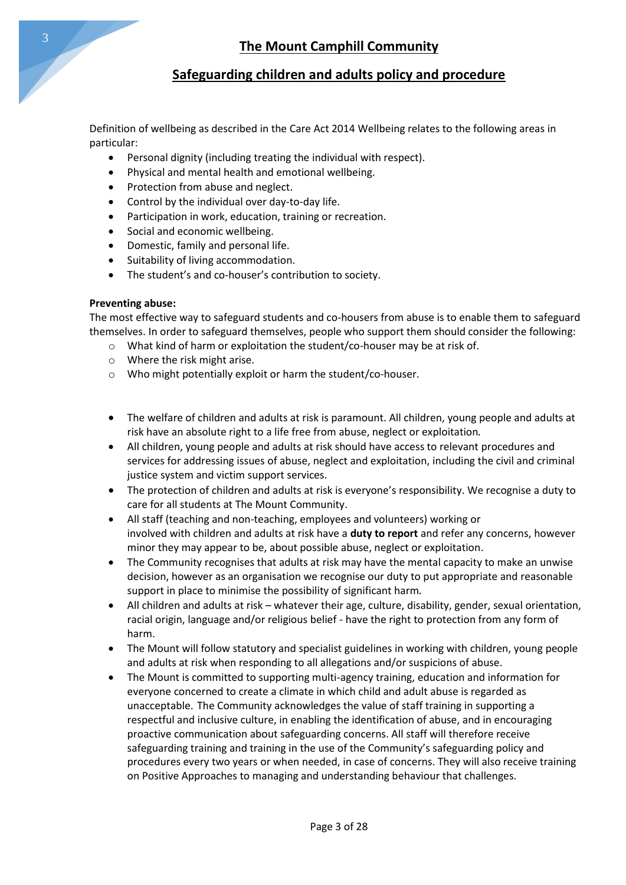Definition of wellbeing as described in the Care Act 2014 Wellbeing relates to the following areas in particular:

- Personal dignity (including treating the individual with respect).
- Physical and mental health and emotional wellbeing.
- Protection from abuse and neglect.
- Control by the individual over day-to-day life.
- Participation in work, education, training or recreation.
- Social and economic wellbeing.
- Domestic, family and personal life.
- Suitability of living accommodation.
- The student's and co-houser's contribution to society.

### **Preventing abuse:**

The most effective way to safeguard students and co-housers from abuse is to enable them to safeguard themselves. In order to safeguard themselves, people who support them should consider the following:

- o What kind of harm or exploitation the student/co-houser may be at risk of.
- o Where the risk might arise.
- o Who might potentially exploit or harm the student/co-houser.
- The welfare of children and adults at risk is paramount. All children, young people and adults at risk have an absolute right to a life free from abuse, neglect or exploitation.
- All children, young people and adults at risk should have access to relevant procedures and services for addressing issues of abuse, neglect and exploitation, including the civil and criminal justice system and victim support services.
- The protection of children and adults at risk is everyone's responsibility. We recognise a duty to care for all students at The Mount Community.
- All staff (teaching and non-teaching, employees and volunteers) working or involved with children and adults at risk have a **duty to report** and refer any concerns, however minor they may appear to be, about possible abuse, neglect or exploitation.
- The Community recognises that adults at risk may have the mental capacity to make an unwise decision, however as an organisation we recognise our duty to put appropriate and reasonable support in place to minimise the possibility of significant harm.
- All children and adults at risk whatever their age, culture, disability, gender, sexual orientation, racial origin, language and/or religious belief - have the right to protection from any form of harm.
- The Mount will follow statutory and specialist guidelines in working with children, young people and adults at risk when responding to all allegations and/or suspicions of abuse.
- The Mount is committed to supporting multi-agency training, education and information for everyone concerned to create a climate in which child and adult abuse is regarded as unacceptable. The Community acknowledges the value of staff training in supporting a respectful and inclusive culture, in enabling the identification of abuse, and in encouraging proactive communication about safeguarding concerns. All staff will therefore receive safeguarding training and training in the use of the Community's safeguarding policy and procedures every two years or when needed, in case of concerns. They will also receive training on Positive Approaches to managing and understanding behaviour that challenges.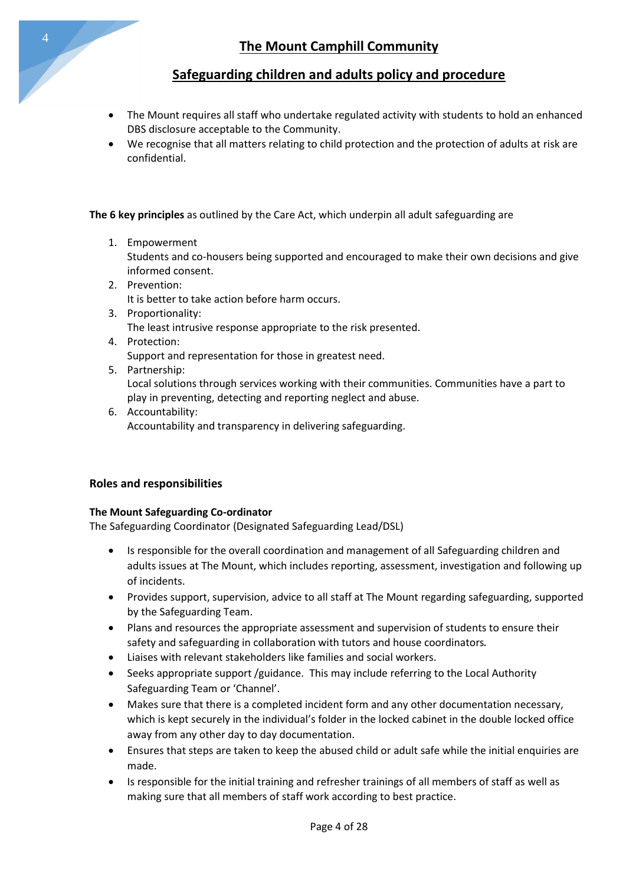# **Safeguarding children and adults policy and procedure**

- The Mount requires all staff who undertake regulated activity with students to hold an enhanced DBS disclosure acceptable to the Community.
- We recognise that all matters relating to child protection and the protection of adults at risk are confidential.

**The 6 key principles** as outlined by the Care Act, which underpin all adult safeguarding are

1. Empowerment

Students and co-housers being supported and encouraged to make their own decisions and give informed consent.

- 2. Prevention: It is better to take action before harm occurs.
- 3. Proportionality: The least intrusive response appropriate to the risk presented.
- 4. Protection: Support and representation for those in greatest need.
- 5. Partnership:

Local solutions through services working with their communities. Communities have a part to play in preventing, detecting and reporting neglect and abuse.

6. Accountability: Accountability and transparency in delivering safeguarding.

### **Roles and responsibilities**

### **The Mount Safeguarding Co-ordinator**

The Safeguarding Coordinator (Designated Safeguarding Lead/DSL)

- Is responsible for the overall coordination and management of all Safeguarding children and adults issues at The Mount, which includes reporting, assessment, investigation and following up of incidents.
- Provides support, supervision, advice to all staff at The Mount regarding safeguarding, supported by the Safeguarding Team.
- Plans and resources the appropriate assessment and supervision of students to ensure their safety and safeguarding in collaboration with tutors and house coordinators.
- Liaises with relevant stakeholders like families and social workers.
- Seeks appropriate support /guidance. This may include referring to the Local Authority Safeguarding Team or 'Channel'.
- Makes sure that there is a completed incident form and any other documentation necessary, which is kept securely in the individual's folder in the locked cabinet in the double locked office away from any other day to day documentation.
- Ensures that steps are taken to keep the abused child or adult safe while the initial enquiries are made.
- Is responsible for the initial training and refresher trainings of all members of staff as well as making sure that all members of staff work according to best practice.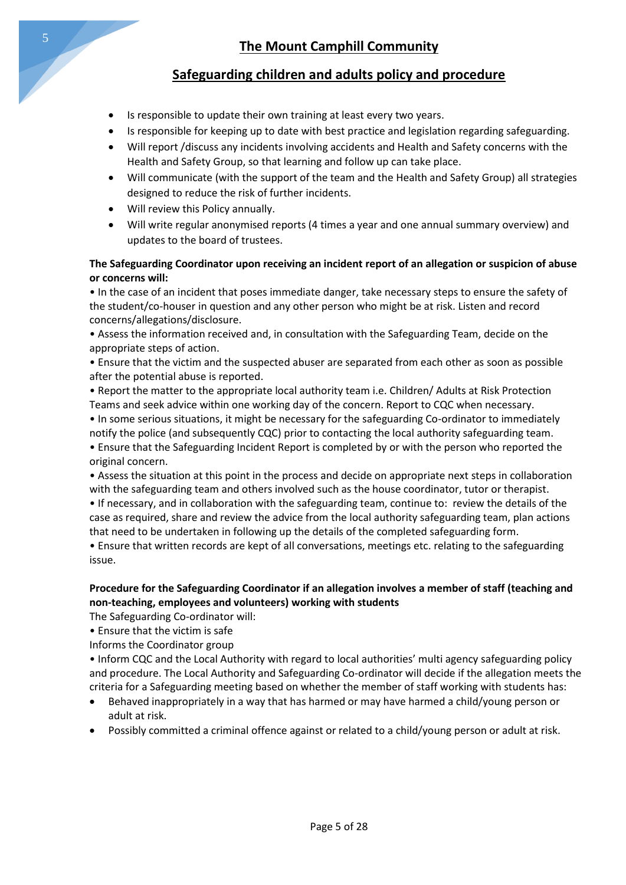# **Safeguarding children and adults policy and procedure**

- Is responsible to update their own training at least every two years.
- Is responsible for keeping up to date with best practice and legislation regarding safeguarding.
- Will report /discuss any incidents involving accidents and Health and Safety concerns with the Health and Safety Group, so that learning and follow up can take place.
- Will communicate (with the support of the team and the Health and Safety Group) all strategies designed to reduce the risk of further incidents.
- Will review this Policy annually.
- Will write regular anonymised reports (4 times a year and one annual summary overview) and updates to the board of trustees.

### **The Safeguarding Coordinator upon receiving an incident report of an allegation or suspicion of abuse or concerns will:**

• In the case of an incident that poses immediate danger, take necessary steps to ensure the safety of the student/co-houser in question and any other person who might be at risk. Listen and record concerns/allegations/disclosure.

• Assess the information received and, in consultation with the Safeguarding Team, decide on the appropriate steps of action.

• Ensure that the victim and the suspected abuser are separated from each other as soon as possible after the potential abuse is reported.

• Report the matter to the appropriate local authority team i.e. Children/ Adults at Risk Protection Teams and seek advice within one working day of the concern. Report to CQC when necessary.

• In some serious situations, it might be necessary for the safeguarding Co-ordinator to immediately

notify the police (and subsequently CQC) prior to contacting the local authority safeguarding team. • Ensure that the Safeguarding Incident Report is completed by or with the person who reported the original concern.

• Assess the situation at this point in the process and decide on appropriate next steps in collaboration with the safeguarding team and others involved such as the house coordinator, tutor or therapist.

• If necessary, and in collaboration with the safeguarding team, continue to: review the details of the case as required, share and review the advice from the local authority safeguarding team, plan actions that need to be undertaken in following up the details of the completed safeguarding form.

• Ensure that written records are kept of all conversations, meetings etc. relating to the safeguarding issue.

### **Procedure for the Safeguarding Coordinator if an allegation involves a member of staff (teaching and non-teaching, employees and volunteers) working with students**

The Safeguarding Co-ordinator will:

• Ensure that the victim is safe

Informs the Coordinator group

• Inform CQC and the Local Authority with regard to local authorities' multi agency safeguarding policy and procedure. The Local Authority and Safeguarding Co-ordinator will decide if the allegation meets the criteria for a Safeguarding meeting based on whether the member of staff working with students has:

- Behaved inappropriately in a way that has harmed or may have harmed a child/young person or adult at risk.
- Possibly committed a criminal offence against or related to a child/young person or adult at risk.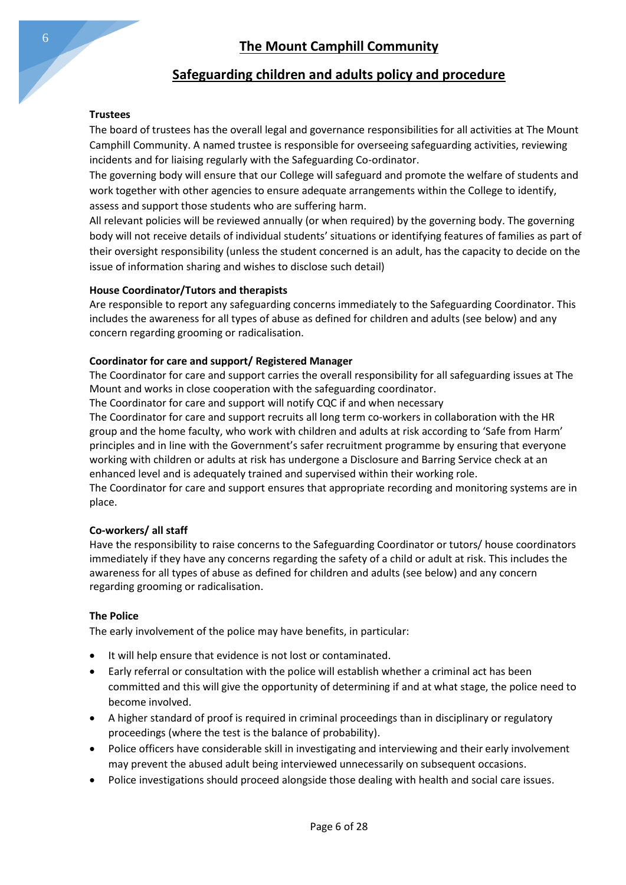### **Trustees**

The board of trustees has the overall legal and governance responsibilities for all activities at The Mount Camphill Community. A named trustee is responsible for overseeing safeguarding activities, reviewing incidents and for liaising regularly with the Safeguarding Co-ordinator.

The governing body will ensure that our College will safeguard and promote the welfare of students and work together with other agencies to ensure adequate arrangements within the College to identify, assess and support those students who are suffering harm.

All relevant policies will be reviewed annually (or when required) by the governing body. The governing body will not receive details of individual students' situations or identifying features of families as part of their oversight responsibility (unless the student concerned is an adult, has the capacity to decide on the issue of information sharing and wishes to disclose such detail)

### **House Coordinator/Tutors and therapists**

Are responsible to report any safeguarding concerns immediately to the Safeguarding Coordinator. This includes the awareness for all types of abuse as defined for children and adults (see below) and any concern regarding grooming or radicalisation.

### **Coordinator for care and support/ Registered Manager**

The Coordinator for care and support carries the overall responsibility for all safeguarding issues at The Mount and works in close cooperation with the safeguarding coordinator.

The Coordinator for care and support will notify CQC if and when necessary

The Coordinator for care and support recruits all long term co-workers in collaboration with the HR group and the home faculty, who work with children and adults at risk according to 'Safe from Harm' principles and in line with the Government's safer recruitment programme by ensuring that everyone working with children or adults at risk has undergone a Disclosure and Barring Service check at an enhanced level and is adequately trained and supervised within their working role.

The Coordinator for care and support ensures that appropriate recording and monitoring systems are in place.

### **Co-workers/ all staff**

Have the responsibility to raise concerns to the Safeguarding Coordinator or tutors/ house coordinators immediately if they have any concerns regarding the safety of a child or adult at risk. This includes the awareness for all types of abuse as defined for children and adults (see below) and any concern regarding grooming or radicalisation.

### **The Police**

The early involvement of the police may have benefits, in particular:

- It will help ensure that evidence is not lost or contaminated.
- Early referral or consultation with the police will establish whether a criminal act has been committed and this will give the opportunity of determining if and at what stage, the police need to become involved.
- A higher standard of proof is required in criminal proceedings than in disciplinary or regulatory proceedings (where the test is the balance of probability).
- Police officers have considerable skill in investigating and interviewing and their early involvement may prevent the abused adult being interviewed unnecessarily on subsequent occasions.
- Police investigations should proceed alongside those dealing with health and social care issues.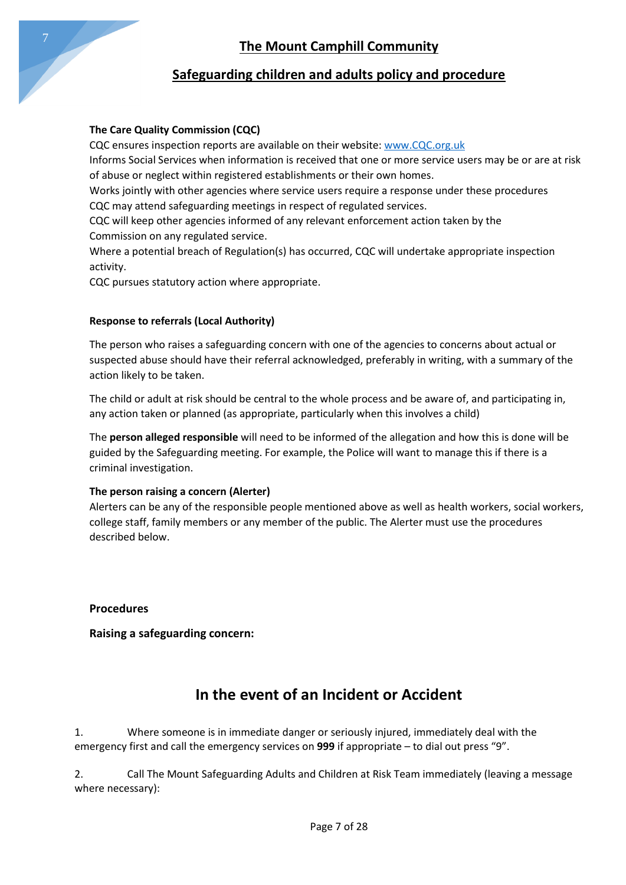

# **Safeguarding children and adults policy and procedure**

## **The Care Quality Commission (CQC)**

CQC ensures inspection reports are available on their website[: www.CQC.org.uk](http://www.cqc.org.uk/)

Informs Social Services when information is received that one or more service users may be or are at risk of abuse or neglect within registered establishments or their own homes.

Works jointly with other agencies where service users require a response under these procedures CQC may attend safeguarding meetings in respect of regulated services.

CQC will keep other agencies informed of any relevant enforcement action taken by the Commission on any regulated service.

Where a potential breach of Regulation(s) has occurred, CQC will undertake appropriate inspection activity.

CQC pursues statutory action where appropriate.

# **Response to referrals (Local Authority)**

The person who raises a safeguarding concern with one of the agencies to concerns about actual or suspected abuse should have their referral acknowledged, preferably in writing, with a summary of the action likely to be taken.

The child or adult at risk should be central to the whole process and be aware of, and participating in, any action taken or planned (as appropriate, particularly when this involves a child)

The **person alleged responsible** will need to be informed of the allegation and how this is done will be guided by the Safeguarding meeting. For example, the Police will want to manage this if there is a criminal investigation.

### **The person raising a concern (Alerter)**

Alerters can be any of the responsible people mentioned above as well as health workers, social workers, college staff, family members or any member of the public. The Alerter must use the procedures described below.

# **Procedures**

**Raising a safeguarding concern:**

# **In the event of an Incident or Accident**

1. Where someone is in immediate danger or seriously injured, immediately deal with the emergency first and call the emergency services on **999** if appropriate – to dial out press "9".

2. Call The Mount Safeguarding Adults and Children at Risk Team immediately (leaving a message where necessary):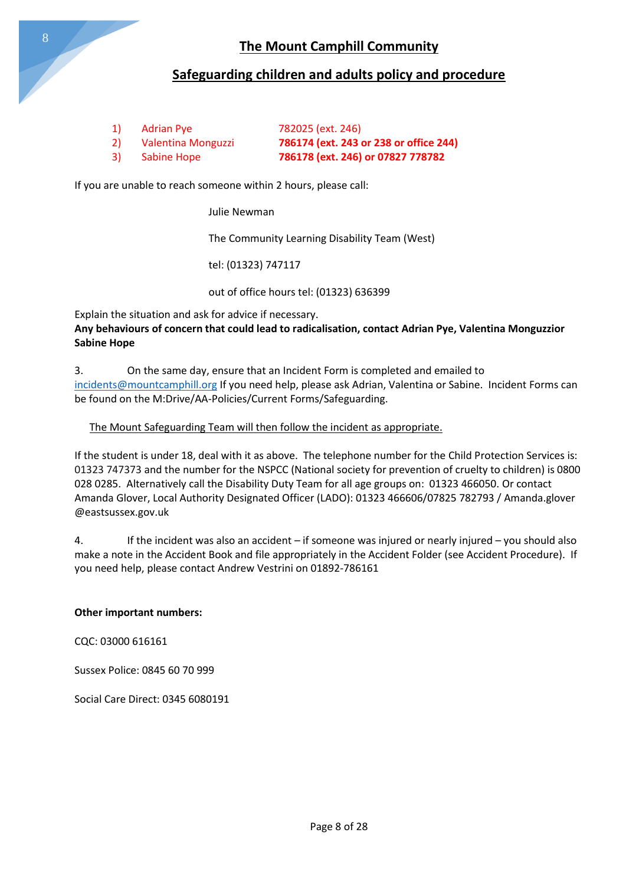

## **Safeguarding children and adults policy and procedure**

| <sup>1</sup> | Adrian Pye         | 782025 (ext. 246)                      |
|--------------|--------------------|----------------------------------------|
| <b>2</b>     | Valentina Monguzzi | 786174 (ext. 243 or 238 or office 244) |
| 3)           | <b>Sabine Hope</b> | 786178 (ext. 246) or 07827 778782      |

If you are unable to reach someone within 2 hours, please call:

#### Julie Newman

The Community Learning Disability Team (West)

tel: (01323) 747117

out of office hours tel: (01323) 636399

Explain the situation and ask for advice if necessary. **Any behaviours of concern that could lead to radicalisation, contact Adrian Pye, Valentina Monguzzior Sabine Hope**

3. On the same day, ensure that an Incident Form is completed and emailed to [incidents@mountcamphill.org](mailto:incidents@mountcamphill.org) If you need help, please ask Adrian, Valentina or Sabine. Incident Forms can be found on the M:Drive/AA-Policies/Current Forms/Safeguarding.

### The Mount Safeguarding Team will then follow the incident as appropriate.

If the student is under 18, deal with it as above. The telephone number for the Child Protection Services is: 01323 747373 and the number for the NSPCC (National society for prevention of cruelty to children) is 0800 028 0285. Alternatively call the Disability Duty Team for all age groups on: 01323 466050. Or contact Amanda Glover, Local Authority Designated Officer (LADO): 01323 466606/07825 782793 / Amanda.glover @eastsussex.gov.uk

4. If the incident was also an accident – if someone was injured or nearly injured – you should also make a note in the Accident Book and file appropriately in the Accident Folder (see Accident Procedure). If you need help, please contact Andrew Vestrini on 01892-786161

#### **Other important numbers:**

CQC: 03000 616161

Sussex Police: 0845 60 70 999

Social Care Direct: 0345 6080191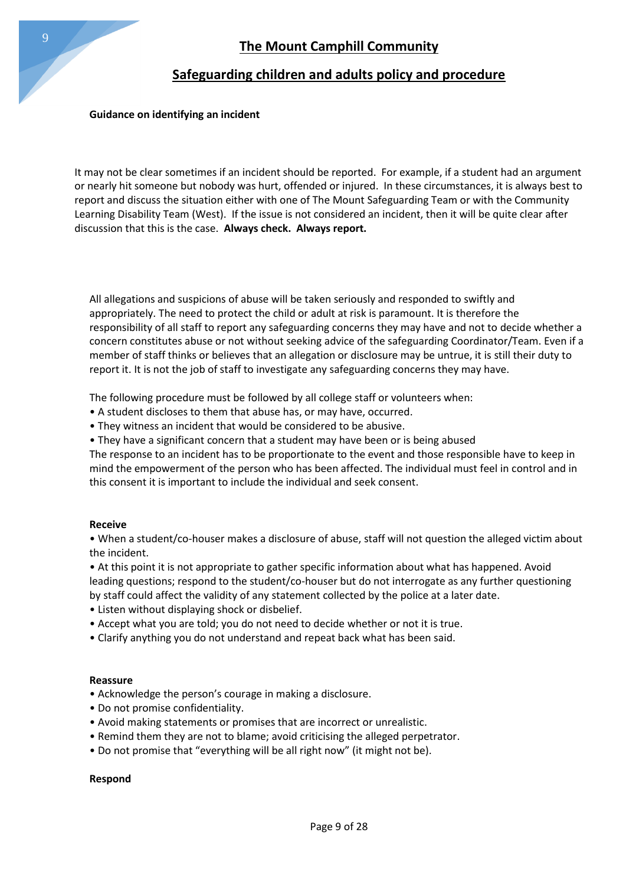### **Guidance on identifying an incident**

It may not be clear sometimes if an incident should be reported. For example, if a student had an argument or nearly hit someone but nobody was hurt, offended or injured. In these circumstances, it is always best to report and discuss the situation either with one of The Mount Safeguarding Team or with the Community Learning Disability Team (West). If the issue is not considered an incident, then it will be quite clear after discussion that this is the case. **Always check. Always report.**

All allegations and suspicions of abuse will be taken seriously and responded to swiftly and appropriately. The need to protect the child or adult at risk is paramount. It is therefore the responsibility of all staff to report any safeguarding concerns they may have and not to decide whether a concern constitutes abuse or not without seeking advice of the safeguarding Coordinator/Team. Even if a member of staff thinks or believes that an allegation or disclosure may be untrue, it is still their duty to report it. It is not the job of staff to investigate any safeguarding concerns they may have.

The following procedure must be followed by all college staff or volunteers when:

- A student discloses to them that abuse has, or may have, occurred.
- They witness an incident that would be considered to be abusive.
- They have a significant concern that a student may have been or is being abused

The response to an incident has to be proportionate to the event and those responsible have to keep in mind the empowerment of the person who has been affected. The individual must feel in control and in this consent it is important to include the individual and seek consent.

#### **Receive**

• When a student/co-houser makes a disclosure of abuse, staff will not question the alleged victim about the incident.

• At this point it is not appropriate to gather specific information about what has happened. Avoid leading questions; respond to the student/co-houser but do not interrogate as any further questioning by staff could affect the validity of any statement collected by the police at a later date.

- Listen without displaying shock or disbelief.
- Accept what you are told; you do not need to decide whether or not it is true.
- Clarify anything you do not understand and repeat back what has been said.

#### **Reassure**

- Acknowledge the person's courage in making a disclosure.
- Do not promise confidentiality.
- Avoid making statements or promises that are incorrect or unrealistic.
- Remind them they are not to blame; avoid criticising the alleged perpetrator.
- Do not promise that "everything will be all right now" (it might not be).

#### **Respond**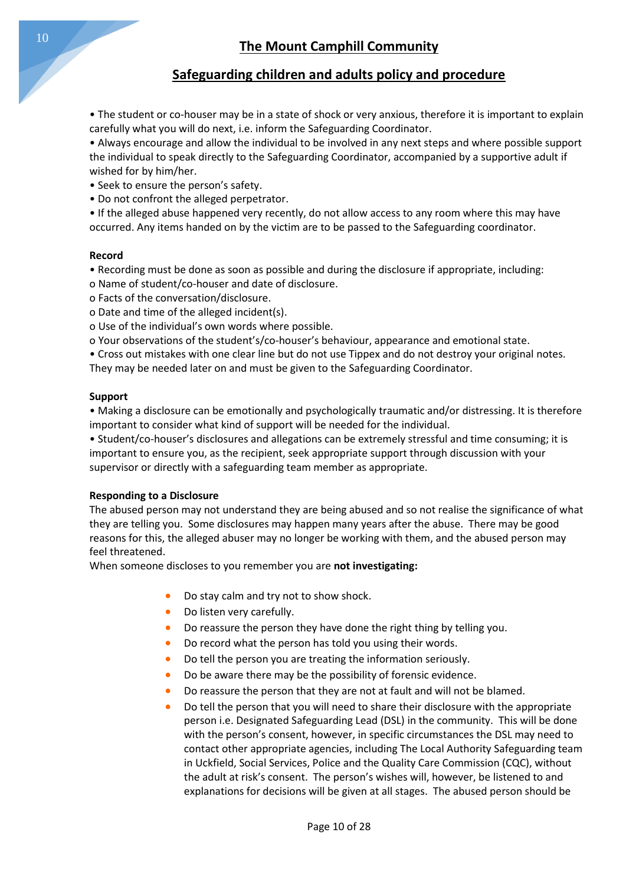• The student or co-houser may be in a state of shock or very anxious, therefore it is important to explain carefully what you will do next, i.e. inform the Safeguarding Coordinator.

• Always encourage and allow the individual to be involved in any next steps and where possible support the individual to speak directly to the Safeguarding Coordinator, accompanied by a supportive adult if wished for by him/her.

- Seek to ensure the person's safety.
- Do not confront the alleged perpetrator.

• If the alleged abuse happened very recently, do not allow access to any room where this may have occurred. Any items handed on by the victim are to be passed to the Safeguarding coordinator.

### **Record**

- Recording must be done as soon as possible and during the disclosure if appropriate, including:
- o Name of student/co-houser and date of disclosure.
- o Facts of the conversation/disclosure.
- o Date and time of the alleged incident(s).
- o Use of the individual's own words where possible.
- o Your observations of the student's/co-houser's behaviour, appearance and emotional state.
- Cross out mistakes with one clear line but do not use Tippex and do not destroy your original notes.
- They may be needed later on and must be given to the Safeguarding Coordinator.

### **Support**

• Making a disclosure can be emotionally and psychologically traumatic and/or distressing. It is therefore important to consider what kind of support will be needed for the individual.

• Student/co-houser's disclosures and allegations can be extremely stressful and time consuming; it is important to ensure you, as the recipient, seek appropriate support through discussion with your supervisor or directly with a safeguarding team member as appropriate.

### **Responding to a Disclosure**

The abused person may not understand they are being abused and so not realise the significance of what they are telling you. Some disclosures may happen many years after the abuse. There may be good reasons for this, the alleged abuser may no longer be working with them, and the abused person may feel threatened.

When someone discloses to you remember you are **not investigating:**

- Do stay calm and try not to show shock.
- Do listen very carefully.
- Do reassure the person they have done the right thing by telling you.
- Do record what the person has told you using their words.
- Do tell the person you are treating the information seriously.
- Do be aware there may be the possibility of forensic evidence.
- Do reassure the person that they are not at fault and will not be blamed.
- Do tell the person that you will need to share their disclosure with the appropriate person i.e. Designated Safeguarding Lead (DSL) in the community. This will be done with the person's consent, however, in specific circumstances the DSL may need to contact other appropriate agencies, including The Local Authority Safeguarding team in Uckfield, Social Services, Police and the Quality Care Commission (CQC), without the adult at risk's consent. The person's wishes will, however, be listened to and explanations for decisions will be given at all stages. The abused person should be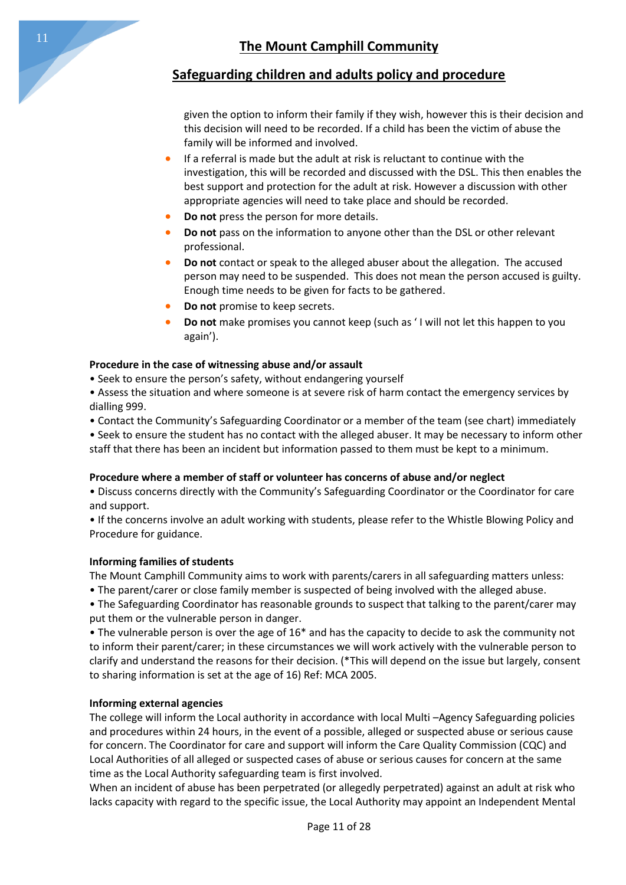

given the option to inform their family if they wish, however this is their decision and this decision will need to be recorded. If a child has been the victim of abuse the family will be informed and involved.

- If a referral is made but the adult at risk is reluctant to continue with the investigation, this will be recorded and discussed with the DSL. This then enables the best support and protection for the adult at risk. However a discussion with other appropriate agencies will need to take place and should be recorded.
- **Do not** press the person for more details.
- **Do not** pass on the information to anyone other than the DSL or other relevant professional.
- **Do not** contact or speak to the alleged abuser about the allegation. The accused person may need to be suspended. This does not mean the person accused is guilty. Enough time needs to be given for facts to be gathered.
- **Do not** promise to keep secrets.
- **Do not** make promises you cannot keep (such as ' I will not let this happen to you again').

### **Procedure in the case of witnessing abuse and/or assault**

• Seek to ensure the person's safety, without endangering yourself

• Assess the situation and where someone is at severe risk of harm contact the emergency services by dialling 999.

• Contact the Community's Safeguarding Coordinator or a member of the team (see chart) immediately

• Seek to ensure the student has no contact with the alleged abuser. It may be necessary to inform other staff that there has been an incident but information passed to them must be kept to a minimum.

### **Procedure where a member of staff or volunteer has concerns of abuse and/or neglect**

• Discuss concerns directly with the Community's Safeguarding Coordinator or the Coordinator for care and support.

• If the concerns involve an adult working with students, please refer to the Whistle Blowing Policy and Procedure for guidance.

### **Informing families of students**

The Mount Camphill Community aims to work with parents/carers in all safeguarding matters unless:

• The parent/carer or close family member is suspected of being involved with the alleged abuse.

• The Safeguarding Coordinator has reasonable grounds to suspect that talking to the parent/carer may put them or the vulnerable person in danger.

• The vulnerable person is over the age of 16\* and has the capacity to decide to ask the community not to inform their parent/carer; in these circumstances we will work actively with the vulnerable person to clarify and understand the reasons for their decision. (\*This will depend on the issue but largely, consent to sharing information is set at the age of 16) Ref: MCA 2005.

### **Informing external agencies**

The college will inform the Local authority in accordance with local Multi –Agency Safeguarding policies and procedures within 24 hours, in the event of a possible, alleged or suspected abuse or serious cause for concern. The Coordinator for care and support will inform the Care Quality Commission (CQC) and Local Authorities of all alleged or suspected cases of abuse or serious causes for concern at the same time as the Local Authority safeguarding team is first involved.

When an incident of abuse has been perpetrated (or allegedly perpetrated) against an adult at risk who lacks capacity with regard to the specific issue, the Local Authority may appoint an Independent Mental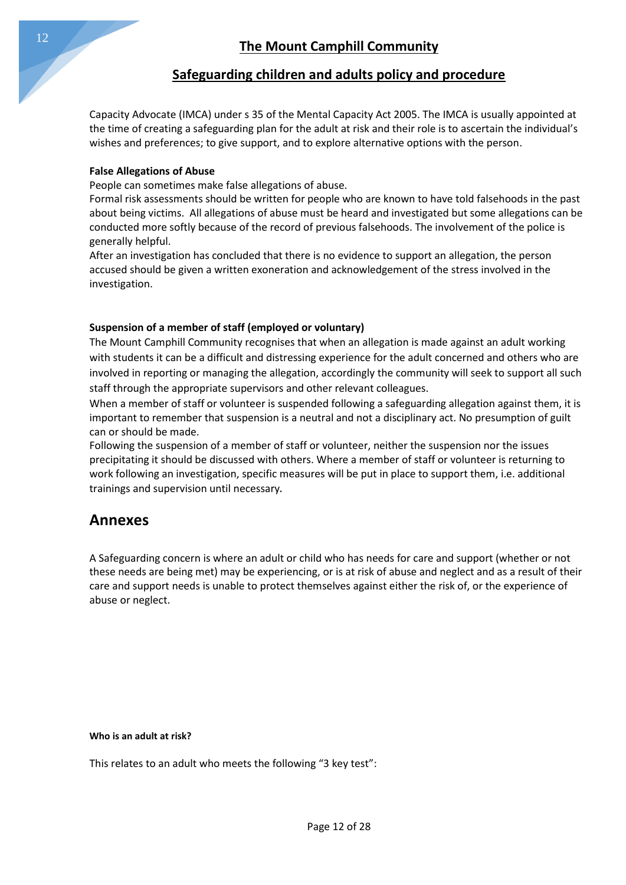Capacity Advocate (IMCA) under s 35 of the Mental Capacity Act 2005. The IMCA is usually appointed at the time of creating a safeguarding plan for the adult at risk and their role is to ascertain the individual's wishes and preferences; to give support, and to explore alternative options with the person.

### **False Allegations of Abuse**

People can sometimes make false allegations of abuse.

Formal risk assessments should be written for people who are known to have told falsehoods in the past about being victims. All allegations of abuse must be heard and investigated but some allegations can be conducted more softly because of the record of previous falsehoods. The involvement of the police is generally helpful.

After an investigation has concluded that there is no evidence to support an allegation, the person accused should be given a written exoneration and acknowledgement of the stress involved in the investigation.

### **Suspension of a member of staff (employed or voluntary)**

The Mount Camphill Community recognises that when an allegation is made against an adult working with students it can be a difficult and distressing experience for the adult concerned and others who are involved in reporting or managing the allegation, accordingly the community will seek to support all such staff through the appropriate supervisors and other relevant colleagues.

When a member of staff or volunteer is suspended following a safeguarding allegation against them, it is important to remember that suspension is a neutral and not a disciplinary act. No presumption of guilt can or should be made.

Following the suspension of a member of staff or volunteer, neither the suspension nor the issues precipitating it should be discussed with others. Where a member of staff or volunteer is returning to work following an investigation, specific measures will be put in place to support them, i.e. additional trainings and supervision until necessary.

# **Annexes**

A Safeguarding concern is where an adult or child who has needs for care and support (whether or not these needs are being met) may be experiencing, or is at risk of abuse and neglect and as a result of their care and support needs is unable to protect themselves against either the risk of, or the experience of abuse or neglect.

#### **Who is an adult at risk?**

This relates to an adult who meets the following "3 key test":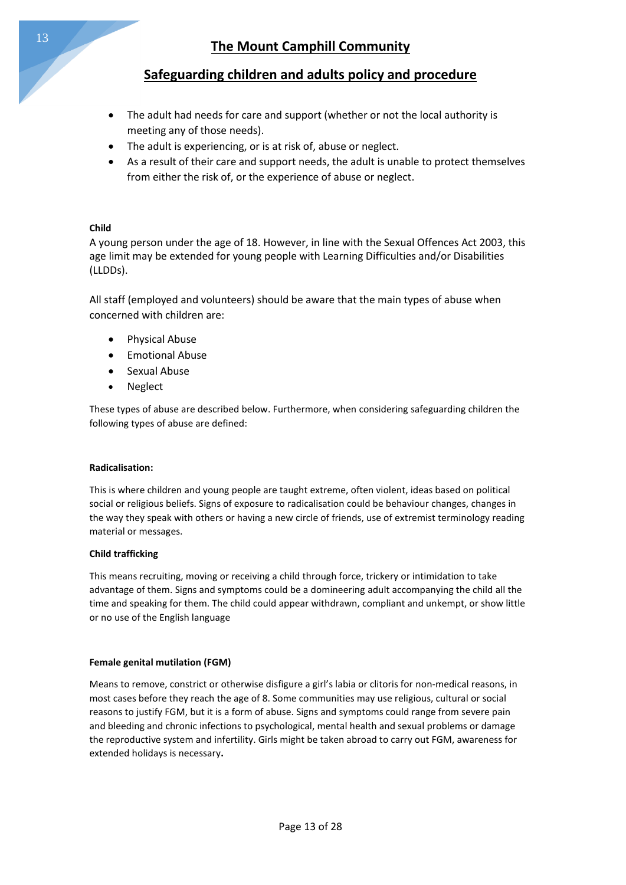- The adult had needs for care and support (whether or not the local authority is meeting any of those needs).
- The adult is experiencing, or is at risk of, abuse or neglect.
- As a result of their care and support needs, the adult is unable to protect themselves from either the risk of, or the experience of abuse or neglect.

### **Child**

A young person under the age of 18. However, in line with the Sexual Offences Act 2003, this age limit may be extended for young people with Learning Difficulties and/or Disabilities (LLDDs).

All staff (employed and volunteers) should be aware that the main types of abuse when concerned with children are:

- **•** Physical Abuse
- Emotional Abuse
- Sexual Abuse
- Neglect

These types of abuse are described below. Furthermore, when considering safeguarding children the following types of abuse are defined:

#### **Radicalisation:**

This is where children and young people are taught extreme, often violent, ideas based on political social or religious beliefs. Signs of exposure to radicalisation could be behaviour changes, changes in the way they speak with others or having a new circle of friends, use of extremist terminology reading material or messages.

#### **Child trafficking**

This means recruiting, moving or receiving a child through force, trickery or intimidation to take advantage of them. Signs and symptoms could be a domineering adult accompanying the child all the time and speaking for them. The child could appear withdrawn, compliant and unkempt, or show little or no use of the English language

#### **Female genital mutilation (FGM)**

Means to remove, constrict or otherwise disfigure a girl's labia or clitoris for non-medical reasons, in most cases before they reach the age of 8. Some communities may use religious, cultural or social reasons to justify FGM, but it is a form of abuse. Signs and symptoms could range from severe pain and bleeding and chronic infections to psychological, mental health and sexual problems or damage the reproductive system and infertility. Girls might be taken abroad to carry out FGM, awareness for extended holidays is necessary**.**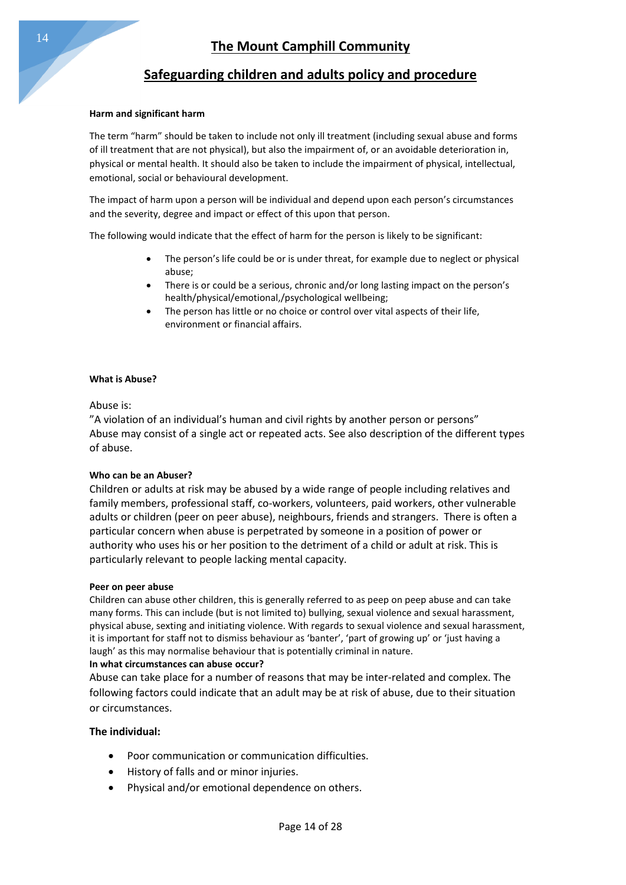#### **Harm and significant harm**

The term "harm" should be taken to include not only ill treatment (including sexual abuse and forms of ill treatment that are not physical), but also the impairment of, or an avoidable deterioration in, physical or mental health. It should also be taken to include the impairment of physical, intellectual, emotional, social or behavioural development.

The impact of harm upon a person will be individual and depend upon each person's circumstances and the severity, degree and impact or effect of this upon that person.

The following would indicate that the effect of harm for the person is likely to be significant:

- The person's life could be or is under threat, for example due to neglect or physical abuse;
- There is or could be a serious, chronic and/or long lasting impact on the person's health/physical/emotional,/psychological wellbeing;
- The person has little or no choice or control over vital aspects of their life, environment or financial affairs.

#### **What is Abuse?**

Abuse is:

"A violation of an individual's human and civil rights by another person or persons" Abuse may consist of a single act or repeated acts. See also description of the different types of abuse.

#### **Who can be an Abuser?**

Children or adults at risk may be abused by a wide range of people including relatives and family members, professional staff, co-workers, volunteers, paid workers, other vulnerable adults or children (peer on peer abuse), neighbours, friends and strangers. There is often a particular concern when abuse is perpetrated by someone in a position of power or authority who uses his or her position to the detriment of a child or adult at risk. This is particularly relevant to people lacking mental capacity.

#### **Peer on peer abuse**

Children can abuse other children, this is generally referred to as peep on peep abuse and can take many forms. This can include (but is not limited to) bullying, sexual violence and sexual harassment, physical abuse, sexting and initiating violence. With regards to sexual violence and sexual harassment, it is important for staff not to dismiss behaviour as 'banter', 'part of growing up' or 'just having a laugh' as this may normalise behaviour that is potentially criminal in nature.

#### **In what circumstances can abuse occur?**

Abuse can take place for a number of reasons that may be inter-related and complex. The following factors could indicate that an adult may be at risk of abuse, due to their situation or circumstances.

#### **The individual:**

- Poor communication or communication difficulties.
- History of falls and or minor injuries.
- Physical and/or emotional dependence on others.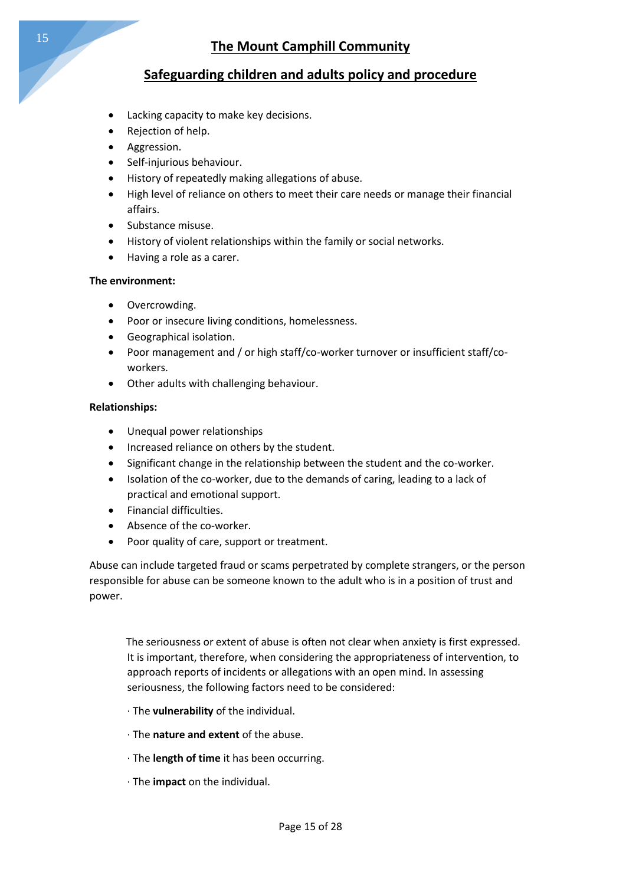- Lacking capacity to make key decisions.
- Rejection of help.
- Aggression.
- Self-injurious behaviour.
- History of repeatedly making allegations of abuse.
- High level of reliance on others to meet their care needs or manage their financial affairs.
- Substance misuse.
- History of violent relationships within the family or social networks.
- Having a role as a carer.

### **The environment:**

- Overcrowding.
- Poor or insecure living conditions, homelessness.
- Geographical isolation.
- Poor management and / or high staff/co-worker turnover or insufficient staff/coworkers.
- Other adults with challenging behaviour.

### **Relationships:**

- Unequal power relationships
- Increased reliance on others by the student.
- Significant change in the relationship between the student and the co-worker.
- Isolation of the co-worker, due to the demands of caring, leading to a lack of practical and emotional support.
- **•** Financial difficulties.
- Absence of the co-worker.
- Poor quality of care, support or treatment.

Abuse can include targeted fraud or scams perpetrated by complete strangers, or the person responsible for abuse can be someone known to the adult who is in a position of trust and power.

 The seriousness or extent of abuse is often not clear when anxiety is first expressed. It is important, therefore, when considering the appropriateness of intervention, to approach reports of incidents or allegations with an open mind. In assessing seriousness, the following factors need to be considered:

- · The **vulnerability** of the individual.
- · The **nature and extent** of the abuse.
- · The **length of time** it has been occurring.
- · The **impact** on the individual.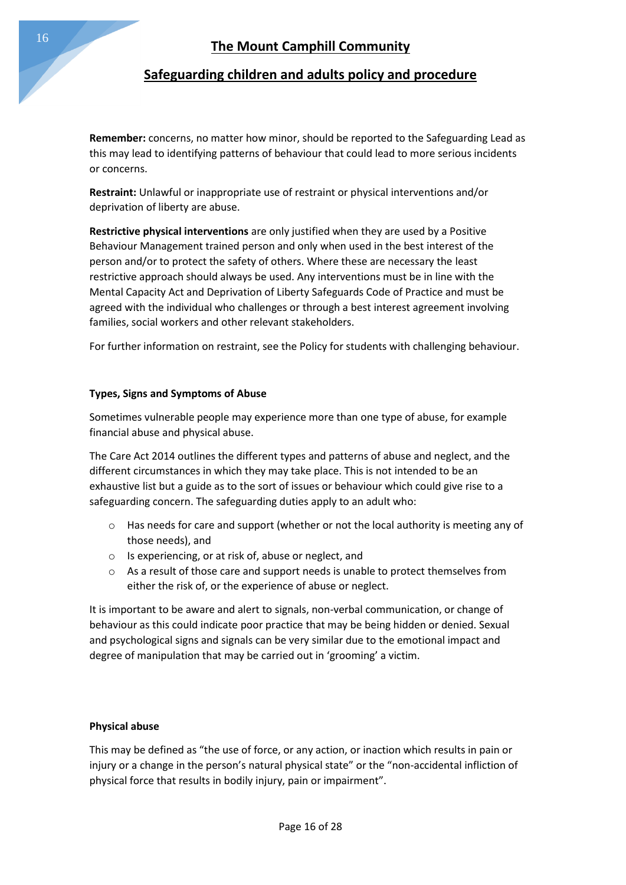**Remember:** concerns, no matter how minor, should be reported to the Safeguarding Lead as this may lead to identifying patterns of behaviour that could lead to more serious incidents or concerns.

**Restraint:** Unlawful or inappropriate use of restraint or physical interventions and/or deprivation of liberty are abuse.

**Restrictive physical interventions** are only justified when they are used by a Positive Behaviour Management trained person and only when used in the best interest of the person and/or to protect the safety of others. Where these are necessary the least restrictive approach should always be used. Any interventions must be in line with the Mental Capacity Act and Deprivation of Liberty Safeguards Code of Practice and must be agreed with the individual who challenges or through a best interest agreement involving families, social workers and other relevant stakeholders.

For further information on restraint, see the Policy for students with challenging behaviour.

### **Types, Signs and Symptoms of Abuse**

Sometimes vulnerable people may experience more than one type of abuse, for example financial abuse and physical abuse.

The Care Act 2014 outlines the different types and patterns of abuse and neglect, and the different circumstances in which they may take place. This is not intended to be an exhaustive list but a guide as to the sort of issues or behaviour which could give rise to a safeguarding concern. The safeguarding duties apply to an adult who:

- $\circ$  Has needs for care and support (whether or not the local authority is meeting any of those needs), and
- o Is experiencing, or at risk of, abuse or neglect, and
- o As a result of those care and support needs is unable to protect themselves from either the risk of, or the experience of abuse or neglect.

It is important to be aware and alert to signals, non-verbal communication, or change of behaviour as this could indicate poor practice that may be being hidden or denied. Sexual and psychological signs and signals can be very similar due to the emotional impact and degree of manipulation that may be carried out in 'grooming' a victim.

### **Physical abuse**

This may be defined as "the use of force, or any action, or inaction which results in pain or injury or a change in the person's natural physical state" or the "non-accidental infliction of physical force that results in bodily injury, pain or impairment".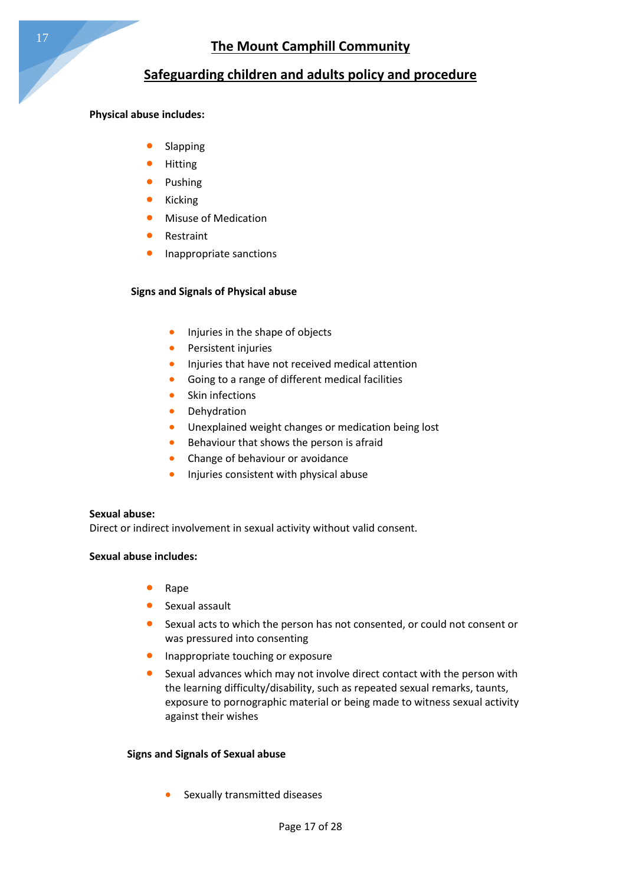### **Physical abuse includes:**

- Slapping
- Hitting
- Pushing
- Kicking
- Misuse of Medication
- Restraint
- Inappropriate sanctions

### **Signs and Signals of Physical abuse**

- Injuries in the shape of objects
- Persistent injuries
- **Injuries that have not received medical attention**
- Going to a range of different medical facilities
- Skin infections
- **•** Dehydration
- **•** Unexplained weight changes or medication being lost
- Behaviour that shows the person is afraid
- Change of behaviour or avoidance
- Injuries consistent with physical abuse

### **Sexual abuse:**

Direct or indirect involvement in sexual activity without valid consent.

### **Sexual abuse includes:**

- Rape
- Sexual assault
- Sexual acts to which the person has not consented, or could not consent or was pressured into consenting
- **•** Inappropriate touching or exposure
- Sexual advances which may not involve direct contact with the person with the learning difficulty/disability, such as repeated sexual remarks, taunts, exposure to pornographic material or being made to witness sexual activity against their wishes

### **Signs and Signals of Sexual abuse**

Sexually transmitted diseases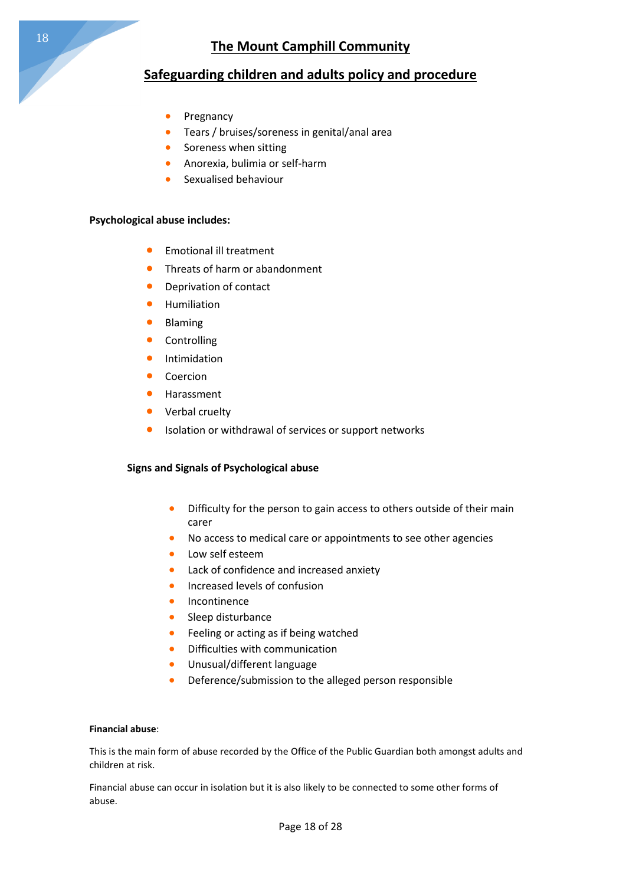- Pregnancy
- Tears / bruises/soreness in genital/anal area
- **•** Soreness when sitting
- Anorexia, bulimia or self-harm
- Sexualised behaviour

#### **Psychological abuse includes:**

- **•** Emotional ill treatment
- **•** Threats of harm or abandonment
- **•** Deprivation of contact
- **•** Humiliation
- **•** Blaming
- Controlling
- **•** Intimidation
- **•** Coercion
- **•** Harassment
- Verbal cruelty
- Isolation or withdrawal of services or support networks

#### **Signs and Signals of Psychological abuse**

- **•** Difficulty for the person to gain access to others outside of their main carer
- No access to medical care or appointments to see other agencies
- Low self esteem
- **•** Lack of confidence and increased anxiety
- **•** Increased levels of confusion
- **•** Incontinence
- Sleep disturbance
- **•** Feeling or acting as if being watched
- Difficulties with communication
- Unusual/different language
- Deference/submission to the alleged person responsible

#### **Financial abuse**:

This is the main form of abuse recorded by the Office of the Public Guardian both amongst adults and children at risk.

Financial abuse can occur in isolation but it is also likely to be connected to some other forms of abuse.

18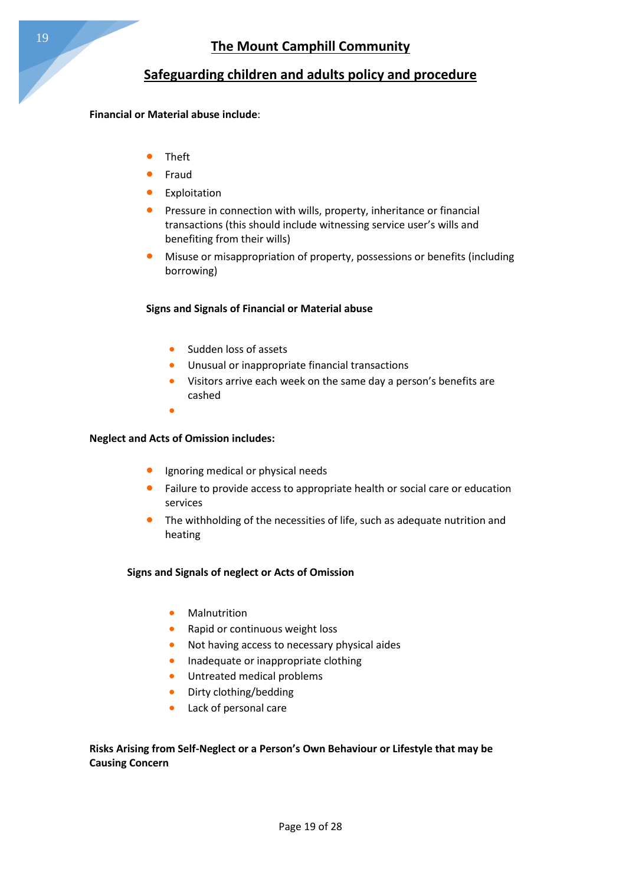### **Financial or Material abuse include**:

- Theft
- Fraud
- **•** Exploitation
- **•** Pressure in connection with wills, property, inheritance or financial transactions (this should include witnessing service user's wills and benefiting from their wills)
- Misuse or misappropriation of property, possessions or benefits (including borrowing)

### **Signs and Signals of Financial or Material abuse**

- **Sudden loss of assets**
- **•** Unusual or inappropriate financial transactions
- Visitors arrive each week on the same day a person's benefits are cashed
- $\bullet$

### **Neglect and Acts of Omission includes:**

- Ignoring medical or physical needs
- Failure to provide access to appropriate health or social care or education services
- The withholding of the necessities of life, such as adequate nutrition and heating

### **Signs and Signals of neglect or Acts of Omission**

- **•** Malnutrition
- Rapid or continuous weight loss
- Not having access to necessary physical aides
- **•** Inadequate or inappropriate clothing
- **•** Untreated medical problems
- Dirty clothing/bedding
- Lack of personal care

### **Risks Arising from Self-Neglect or a Person's Own Behaviour or Lifestyle that may be Causing Concern**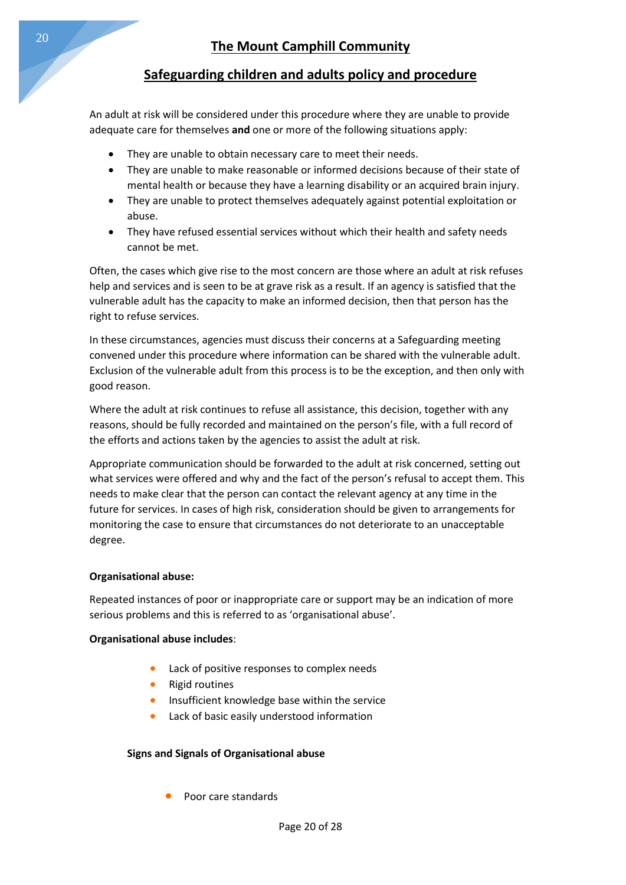An adult at risk will be considered under this procedure where they are unable to provide adequate care for themselves **and** one or more of the following situations apply:

- They are unable to obtain necessary care to meet their needs.
- They are unable to make reasonable or informed decisions because of their state of mental health or because they have a learning disability or an acquired brain injury.
- They are unable to protect themselves adequately against potential exploitation or abuse.
- They have refused essential services without which their health and safety needs cannot be met.

Often, the cases which give rise to the most concern are those where an adult at risk refuses help and services and is seen to be at grave risk as a result. If an agency is satisfied that the vulnerable adult has the capacity to make an informed decision, then that person has the right to refuse services.

In these circumstances, agencies must discuss their concerns at a Safeguarding meeting convened under this procedure where information can be shared with the vulnerable adult. Exclusion of the vulnerable adult from this process is to be the exception, and then only with good reason.

Where the adult at risk continues to refuse all assistance, this decision, together with any reasons, should be fully recorded and maintained on the person's file, with a full record of the efforts and actions taken by the agencies to assist the adult at risk.

Appropriate communication should be forwarded to the adult at risk concerned, setting out what services were offered and why and the fact of the person's refusal to accept them. This needs to make clear that the person can contact the relevant agency at any time in the future for services. In cases of high risk, consideration should be given to arrangements for monitoring the case to ensure that circumstances do not deteriorate to an unacceptable degree.

#### **Organisational abuse:**

Repeated instances of poor or inappropriate care or support may be an indication of more serious problems and this is referred to as 'organisational abuse'.

#### **Organisational abuse includes**:

- Lack of positive responses to complex needs
- Rigid routines
- Insufficient knowledge base within the service
- Lack of basic easily understood information

#### **Signs and Signals of Organisational abuse**

Poor care standards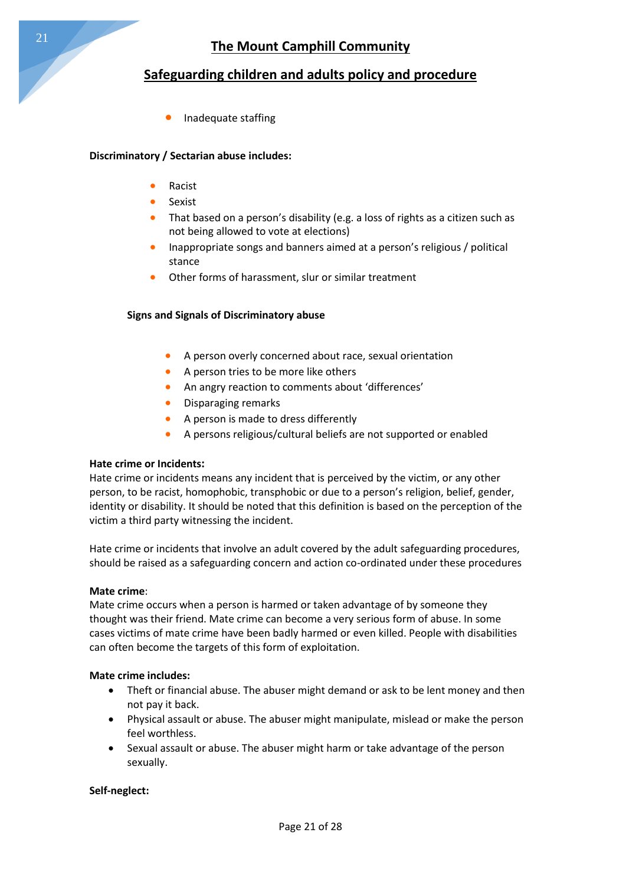Inadequate staffing

### **Discriminatory / Sectarian abuse includes:**

- Racist
- Sexist
- That based on a person's disability (e.g. a loss of rights as a citizen such as not being allowed to vote at elections)
- Inappropriate songs and banners aimed at a person's religious / political stance
- Other forms of harassment, slur or similar treatment

### **Signs and Signals of Discriminatory abuse**

- A person overly concerned about race, sexual orientation
- A person tries to be more like others
- An angry reaction to comments about 'differences'
- **•** Disparaging remarks
- A person is made to dress differently
- A persons religious/cultural beliefs are not supported or enabled

### **Hate crime or Incidents:**

Hate crime or incidents means any incident that is perceived by the victim, or any other person, to be racist, homophobic, transphobic or due to a person's religion, belief, gender, identity or disability. It should be noted that this definition is based on the perception of the victim a third party witnessing the incident.

Hate crime or incidents that involve an adult covered by the adult safeguarding procedures, should be raised as a safeguarding concern and action co-ordinated under these procedures

#### **Mate crime**:

Mate crime occurs when a person is harmed or taken advantage of by someone they thought was their friend. Mate crime can become a very serious form of abuse. In some cases victims of mate crime have been badly harmed or even killed. People with disabilities can often become the targets of this form of exploitation.

### **Mate crime includes:**

- Theft or financial abuse. The abuser might demand or ask to be lent money and then not pay it back.
- Physical assault or abuse. The abuser might manipulate, mislead or make the person feel worthless.
- Sexual assault or abuse. The abuser might harm or take advantage of the person sexually.

### **Self-neglect:**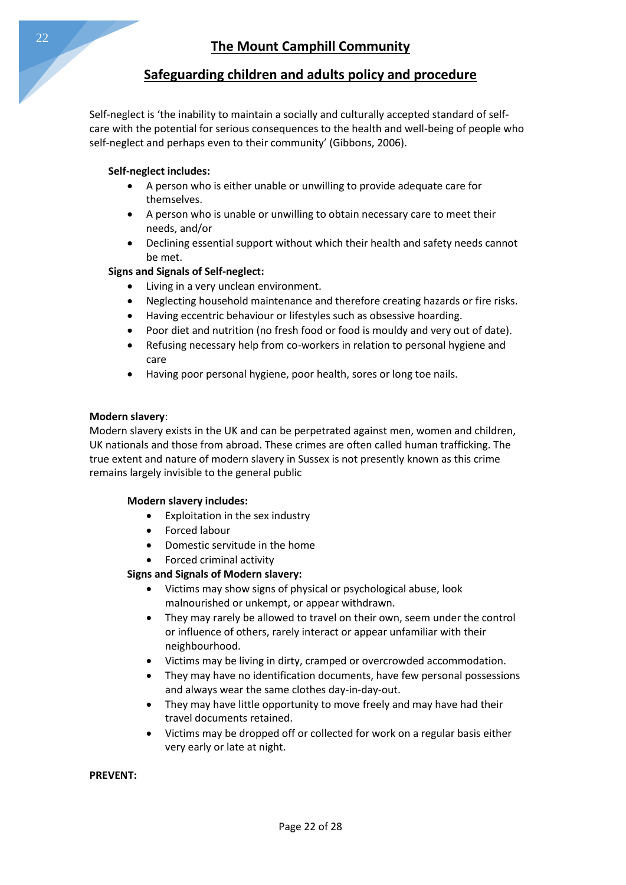Self-neglect is 'the inability to maintain a socially and culturally accepted standard of selfcare with the potential for serious consequences to the health and well-being of people who self-neglect and perhaps even to their community' (Gibbons, 2006).

### **Self-neglect includes:**

- A person who is either unable or unwilling to provide adequate care for themselves.
- A person who is unable or unwilling to obtain necessary care to meet their needs, and/or
- Declining essential support without which their health and safety needs cannot be met.

### **Signs and Signals of Self-neglect:**

- Living in a very unclean environment.
- Neglecting household maintenance and therefore creating hazards or fire risks.
- Having eccentric behaviour or lifestyles such as obsessive hoarding.
- Poor diet and nutrition (no fresh food or food is mouldy and very out of date).
- Refusing necessary help from co-workers in relation to personal hygiene and care
- Having poor personal hygiene, poor health, sores or long toe nails.

### **Modern slavery**:

Modern slavery exists in the UK and can be perpetrated against men, women and children, UK nationals and those from abroad. These crimes are often called human trafficking. The true extent and nature of modern slavery in Sussex is not presently known as this crime remains largely invisible to the general public

#### **Modern slavery includes:**

- Exploitation in the sex industry
- Forced labour
- Domestic servitude in the home
- Forced criminal activity

### **Signs and Signals of Modern slavery:**

- Victims may show signs of physical or psychological abuse, look malnourished or unkempt, or appear withdrawn.
- They may rarely be allowed to travel on their own, seem under the control or influence of others, rarely interact or appear unfamiliar with their neighbourhood.
- Victims may be living in dirty, cramped or overcrowded accommodation.
- They may have no identification documents, have few personal possessions and always wear the same clothes day-in-day-out.
- They may have little opportunity to move freely and may have had their travel documents retained.
- Victims may be dropped off or collected for work on a regular basis either very early or late at night.

**PREVENT:**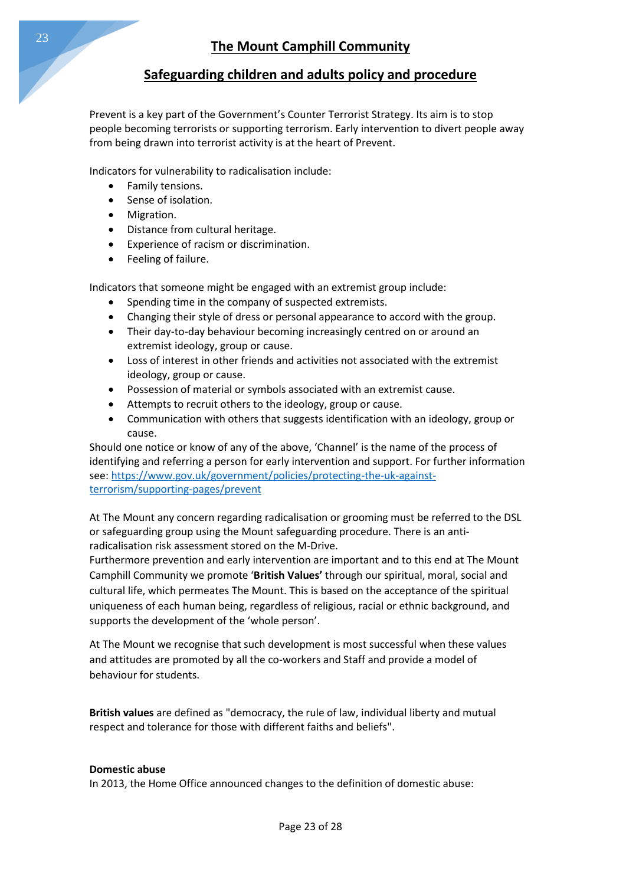Prevent is a key part of the Government's Counter Terrorist Strategy. Its aim is to stop people becoming terrorists or supporting terrorism. Early intervention to divert people away from being drawn into terrorist activity is at the heart of Prevent.

Indicators for vulnerability to radicalisation include:

- Family tensions.
- Sense of isolation.
- Migration.
- Distance from cultural heritage.
- Experience of racism or discrimination.
- Feeling of failure.

Indicators that someone might be engaged with an extremist group include:

- Spending time in the company of suspected extremists.
- Changing their style of dress or personal appearance to accord with the group.
- Their day-to-day behaviour becoming increasingly centred on or around an extremist ideology, group or cause.
- Loss of interest in other friends and activities not associated with the extremist ideology, group or cause.
- Possession of material or symbols associated with an extremist cause.
- Attempts to recruit others to the ideology, group or cause.
- Communication with others that suggests identification with an ideology, group or cause.

Should one notice or know of any of the above, 'Channel' is the name of the process of identifying and referring a person for early intervention and support. For further information see[: https://www.gov.uk/government/policies/protecting-the-uk-against](https://www.gov.uk/government/policies/protecting-the-uk-against-terrorism/supporting-pages/prevent)[terrorism/supporting-pages/prevent](https://www.gov.uk/government/policies/protecting-the-uk-against-terrorism/supporting-pages/prevent)

At The Mount any concern regarding radicalisation or grooming must be referred to the DSL or safeguarding group using the Mount safeguarding procedure. There is an antiradicalisation risk assessment stored on the M-Drive.

Furthermore prevention and early intervention are important and to this end at The Mount Camphill Community we promote '**British Values'** through our spiritual, moral, social and cultural life, which permeates The Mount. This is based on the acceptance of the spiritual uniqueness of each human being, regardless of religious, racial or ethnic background, and supports the development of the 'whole person'.

At The Mount we recognise that such development is most successful when these values and attitudes are promoted by all the co-workers and Staff and provide a model of behaviour for students.

**British values** are defined as "democracy, the rule of law, individual liberty and mutual respect and tolerance for those with different faiths and beliefs".

#### **Domestic abuse**

In 2013, the Home Office announced changes to the definition of domestic abuse: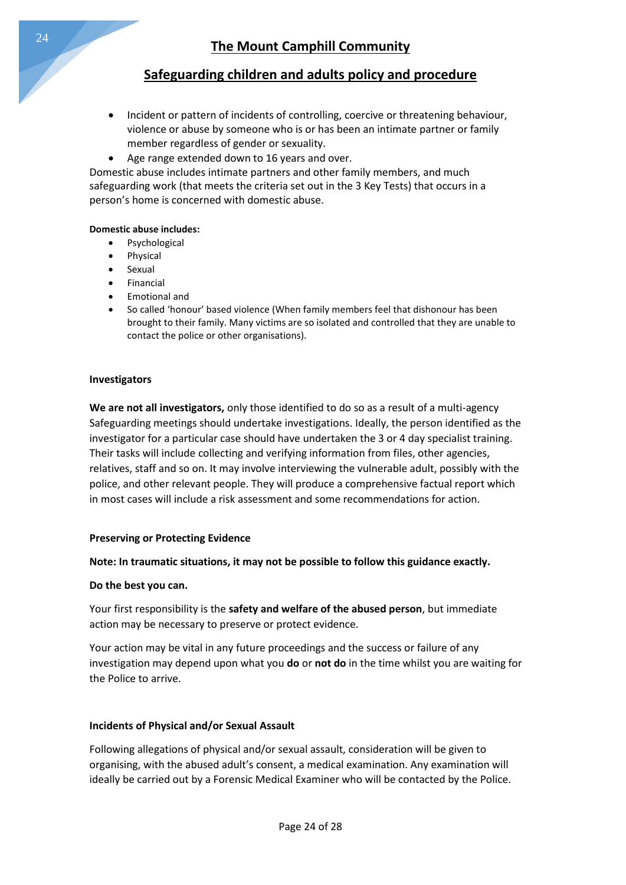- Incident or pattern of incidents of controlling, coercive or threatening behaviour, violence or abuse by someone who is or has been an intimate partner or family member regardless of gender or sexuality.
- Age range extended down to 16 years and over.

Domestic abuse includes intimate partners and other family members, and much safeguarding work (that meets the criteria set out in the 3 Key Tests) that occurs in a person's home is concerned with domestic abuse.

### **Domestic abuse includes:**

- Psychological
- Physical
- Sexual
- Financial
- Emotional and
- So called 'honour' based violence (When family members feel that dishonour has been brought to their family. Many victims are so isolated and controlled that they are unable to contact the police or other organisations).

### **Investigators**

**We are not all investigators,** only those identified to do so as a result of a multi-agency Safeguarding meetings should undertake investigations. Ideally, the person identified as the investigator for a particular case should have undertaken the 3 or 4 day specialist training. Their tasks will include collecting and verifying information from files, other agencies, relatives, staff and so on. It may involve interviewing the vulnerable adult, possibly with the police, and other relevant people. They will produce a comprehensive factual report which in most cases will include a risk assessment and some recommendations for action.

### **Preserving or Protecting Evidence**

### **Note: In traumatic situations, it may not be possible to follow this guidance exactly.**

#### **Do the best you can.**

Your first responsibility is the **safety and welfare of the abused person**, but immediate action may be necessary to preserve or protect evidence.

Your action may be vital in any future proceedings and the success or failure of any investigation may depend upon what you **do** or **not do** in the time whilst you are waiting for the Police to arrive.

#### **Incidents of Physical and/or Sexual Assault**

Following allegations of physical and/or sexual assault, consideration will be given to organising, with the abused adult's consent, a medical examination. Any examination will ideally be carried out by a Forensic Medical Examiner who will be contacted by the Police.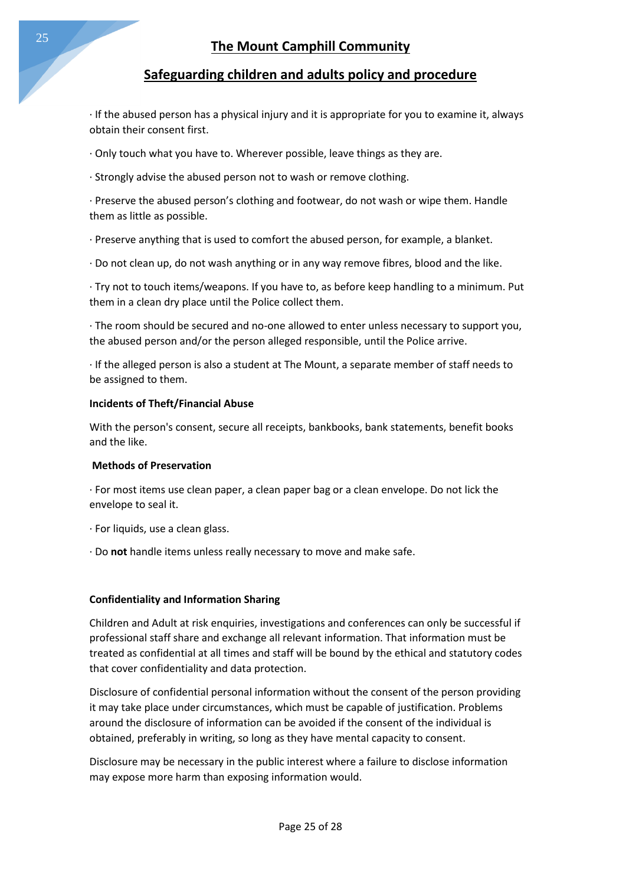· If the abused person has a physical injury and it is appropriate for you to examine it, always obtain their consent first.

· Only touch what you have to. Wherever possible, leave things as they are.

· Strongly advise the abused person not to wash or remove clothing.

· Preserve the abused person's clothing and footwear, do not wash or wipe them. Handle them as little as possible.

· Preserve anything that is used to comfort the abused person, for example, a blanket.

· Do not clean up, do not wash anything or in any way remove fibres, blood and the like.

· Try not to touch items/weapons. If you have to, as before keep handling to a minimum. Put them in a clean dry place until the Police collect them.

· The room should be secured and no-one allowed to enter unless necessary to support you, the abused person and/or the person alleged responsible, until the Police arrive.

· If the alleged person is also a student at The Mount, a separate member of staff needs to be assigned to them.

### **Incidents of Theft/Financial Abuse**

With the person's consent, secure all receipts, bankbooks, bank statements, benefit books and the like.

#### **Methods of Preservation**

· For most items use clean paper, a clean paper bag or a clean envelope. Do not lick the envelope to seal it.

- · For liquids, use a clean glass.
- · Do **not** handle items unless really necessary to move and make safe.

### **Confidentiality and Information Sharing**

Children and Adult at risk enquiries, investigations and conferences can only be successful if professional staff share and exchange all relevant information. That information must be treated as confidential at all times and staff will be bound by the ethical and statutory codes that cover confidentiality and data protection.

Disclosure of confidential personal information without the consent of the person providing it may take place under circumstances, which must be capable of justification. Problems around the disclosure of information can be avoided if the consent of the individual is obtained, preferably in writing, so long as they have mental capacity to consent.

Disclosure may be necessary in the public interest where a failure to disclose information may expose more harm than exposing information would.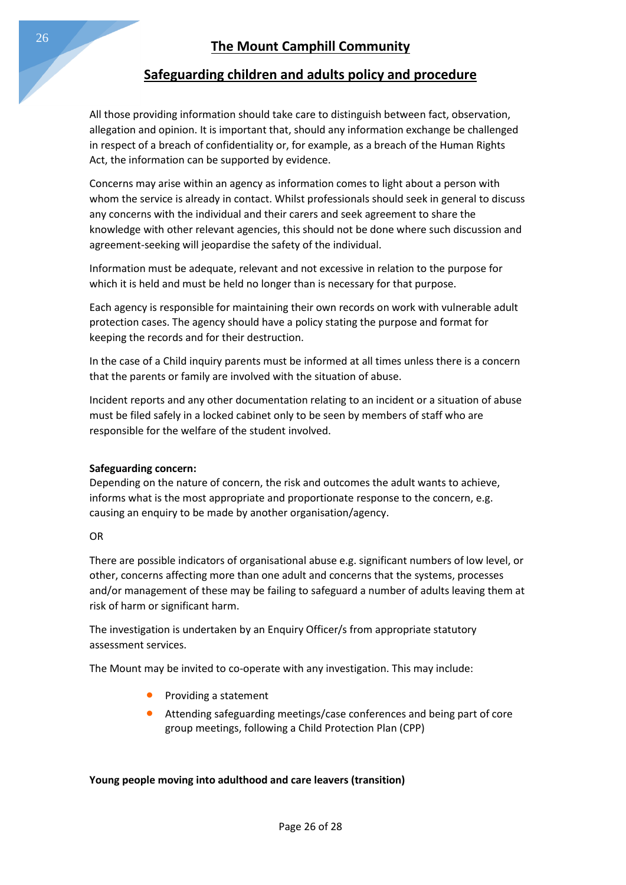All those providing information should take care to distinguish between fact, observation, allegation and opinion. It is important that, should any information exchange be challenged in respect of a breach of confidentiality or, for example, as a breach of the Human Rights Act, the information can be supported by evidence.

Concerns may arise within an agency as information comes to light about a person with whom the service is already in contact. Whilst professionals should seek in general to discuss any concerns with the individual and their carers and seek agreement to share the knowledge with other relevant agencies, this should not be done where such discussion and agreement-seeking will jeopardise the safety of the individual.

Information must be adequate, relevant and not excessive in relation to the purpose for which it is held and must be held no longer than is necessary for that purpose.

Each agency is responsible for maintaining their own records on work with vulnerable adult protection cases. The agency should have a policy stating the purpose and format for keeping the records and for their destruction.

In the case of a Child inquiry parents must be informed at all times unless there is a concern that the parents or family are involved with the situation of abuse.

Incident reports and any other documentation relating to an incident or a situation of abuse must be filed safely in a locked cabinet only to be seen by members of staff who are responsible for the welfare of the student involved.

#### **Safeguarding concern:**

Depending on the nature of concern, the risk and outcomes the adult wants to achieve, informs what is the most appropriate and proportionate response to the concern, e.g. causing an enquiry to be made by another organisation/agency.

#### OR

There are possible indicators of organisational abuse e.g. significant numbers of low level, or other, concerns affecting more than one adult and concerns that the systems, processes and/or management of these may be failing to safeguard a number of adults leaving them at risk of harm or significant harm.

The investigation is undertaken by an Enquiry Officer/s from appropriate statutory assessment services.

The Mount may be invited to co-operate with any investigation. This may include:

- Providing a statement
- Attending safeguarding meetings/case conferences and being part of core group meetings, following a Child Protection Plan (CPP)

### **Young people moving into adulthood and care leavers (transition)**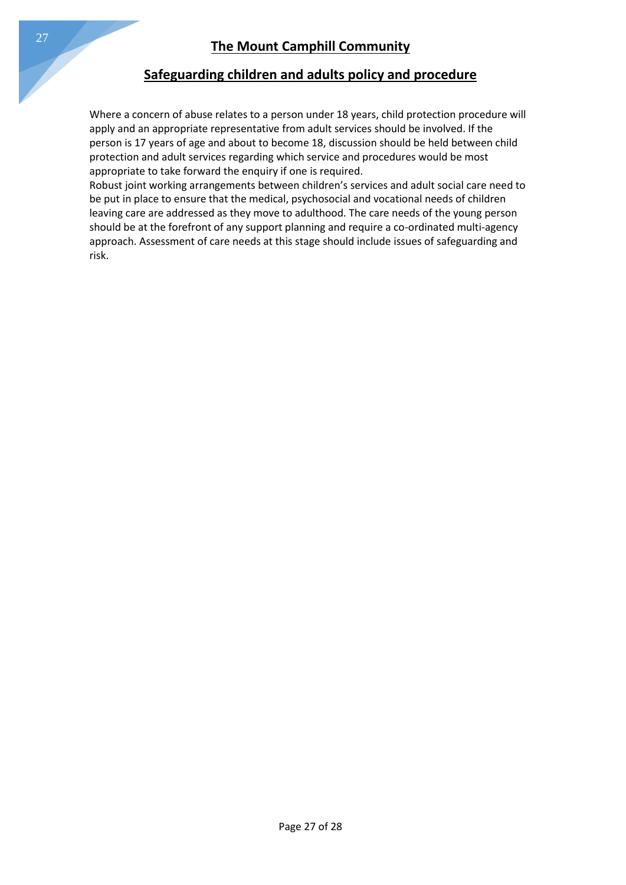Where a concern of abuse relates to a person under 18 years, child protection procedure will apply and an appropriate representative from adult services should be involved. If the person is 17 years of age and about to become 18, discussion should be held between child protection and adult services regarding which service and procedures would be most appropriate to take forward the enquiry if one is required.

Robust joint working arrangements between children's services and adult social care need to be put in place to ensure that the medical, psychosocial and vocational needs of children leaving care are addressed as they move to adulthood. The care needs of the young person should be at the forefront of any support planning and require a co-ordinated multi-agency approach. Assessment of care needs at this stage should include issues of safeguarding and risk.